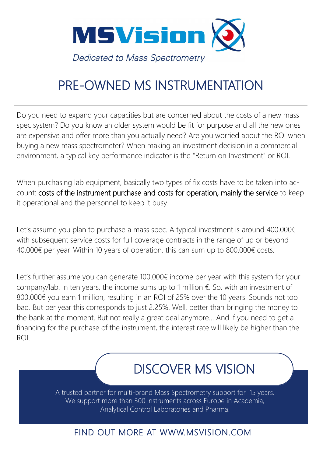

## PRE-OWNED MS INSTRUMENTATION

Do you need to expand your capacities but are concerned about the costs of a new mass spec system? Do you know an older system would be fit for purpose and all the new ones are expensive and offer more than you actually need? Are you worried about the ROI when buying a new mass spectrometer? When making an investment decision in a commercial environment, a typical key performance indicator is the "Return on Investment" or ROI.

When purchasing lab equipment, basically two types of fix costs have to be taken into account: costs of the instrument purchase and costs for operation, mainly the service to keep it operational and the personnel to keep it busy.

Let's assume you plan to purchase a mass spec. A typical investment is around 400.000€ with subsequent service costs for full coverage contracts in the range of up or beyond 40.000€ per year. Within 10 years of operation, this can sum up to 800.000€ costs.

Let's further assume you can generate 100.000€ income per year with this system for your company/lab. In ten years, the income sums up to 1 million  $\epsilon$ . So, with an investment of 800.000€ you earn 1 million, resulting in an ROI of 25% over the 10 years. Sounds not too bad. But per year this corresponds to just 2.25%. Well, better than bringing the money to the bank at the moment. But not really a great deal anymore… And if you need to get a financing for the purchase of the instrument, the interest rate will likely be higher than the ROI.

# DISCOVER MS VISION

A trusted partner for multi-brand Mass Spectrometry support for 15 years. We support more than 300 instruments across Europe in Academia, Analytical Control Laboratories and Pharma.

### FIND OUT MORE AT WWW.MSVISION.COM